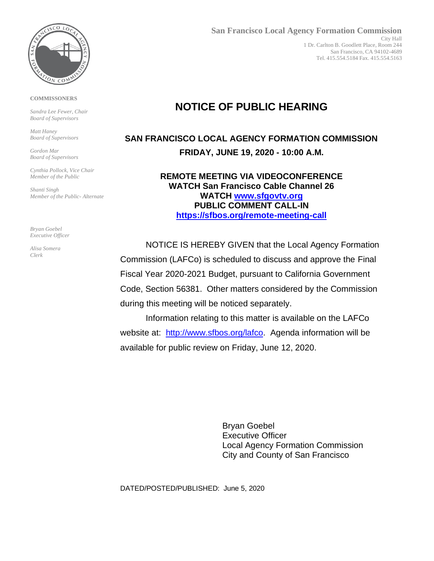

#### **COMMISSONERS**

*Sandra Lee Fewer, Chair Board of Supervisors*

*Matt Haney Board of Supervisors*

*Gordon Mar Board of Supervisors*

*Cynthia Pollock, Vice Chair Member of the Public*

*Shanti Singh Member of the Public- Alternate*

*Bryan Goebel Executive Officer*

*Alisa Somera Clerk*

# **NOTICE OF PUBLIC HEARING**

## **SAN FRANCISCO LOCAL AGENCY FORMATION COMMISSION FRIDAY, JUNE 19, 2020 - 10:00 A.M.**

**REMOTE MEETING VIA VIDEOCONFERENCE WATCH San Francisco Cable Channel 26 WATCH [www.sfgovtv.org](http://www.sfgovtv.org/) PUBLIC COMMENT CALL-IN <https://sfbos.org/remote-meeting-call>**

NOTICE IS HEREBY GIVEN that the Local Agency Formation Commission (LAFCo) is scheduled to discuss and approve the Final Fiscal Year 2020-2021 Budget, pursuant to California Government Code, Section 56381. Other matters considered by the Commission during this meeting will be noticed separately.

Information relating to this matter is available on the LAFCo website at: [http://www.sfbos.org/lafco.](http://www.sfbos.org/lafco) Agenda information will be available for public review on Friday, June 12, 2020.

> Bryan Goebel Executive Officer Local Agency Formation Commission City and County of San Francisco

DATED/POSTED/PUBLISHED: June 5, 2020